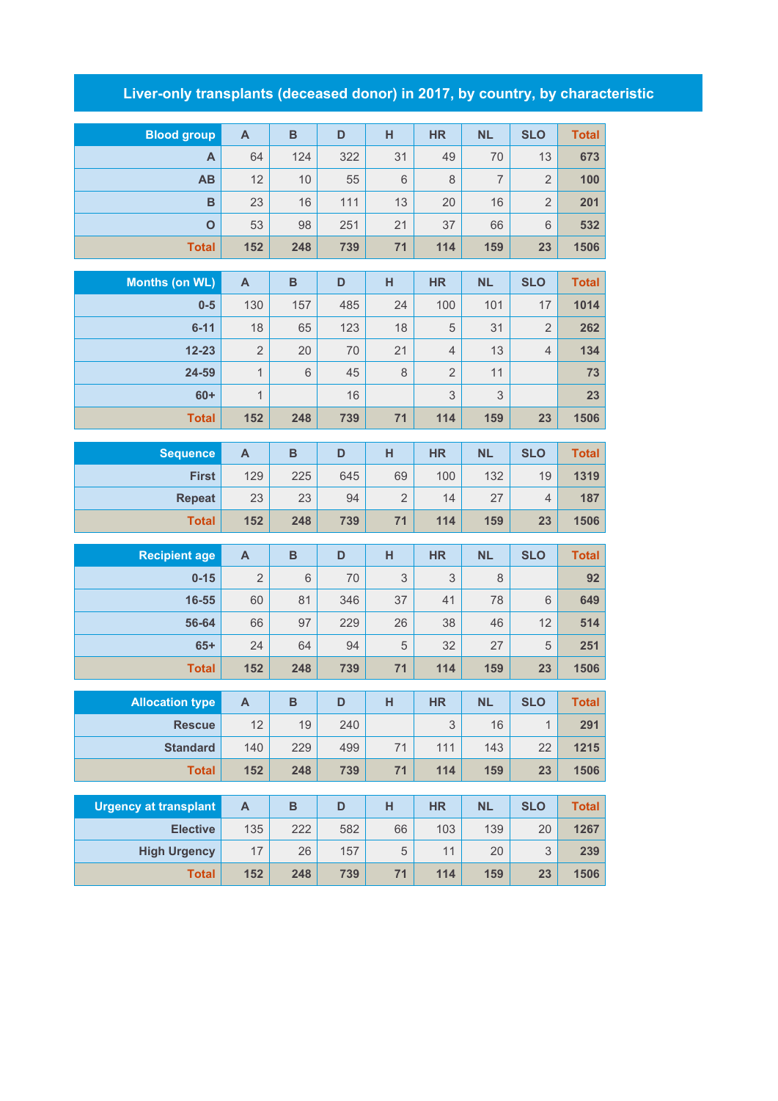## **Liver-only transplants (deceased donor) in 2017, by country, by characteristic**

| <b>Blood group</b>           | $\mathsf{A}$   | $\, {\bf B}$ | D   | н              | <b>HR</b>                 | <b>NL</b>      | <b>SLO</b>     | <b>Total</b> |
|------------------------------|----------------|--------------|-----|----------------|---------------------------|----------------|----------------|--------------|
| A                            | 64             | 124          | 322 | 31             | 49                        | 70             | 13             | 673          |
| AB                           | 12             | 10           | 55  | 6              | 8                         | $\overline{7}$ | $\overline{2}$ | 100          |
| B                            | 23             | 16           | 111 | 13             | 20                        | 16             | $\overline{2}$ | 201          |
| $\mathbf{o}$                 | 53             | 98           | 251 | 21             | 37                        | 66             | 6              | 532          |
| <b>Total</b>                 | 152            | 248          | 739 | 71             | 114                       | 159            | 23             | 1506         |
|                              |                |              |     |                |                           |                |                |              |
| <b>Months (on WL)</b>        | $\mathsf{A}$   | $\, {\bf B}$ | D   | H              | <b>HR</b>                 | <b>NL</b>      | <b>SLO</b>     | <b>Total</b> |
| $0-5$                        | 130            | 157          | 485 | 24             | 100                       | 101            | 17             | 1014         |
| $6 - 11$                     | 18             | 65           | 123 | 18             | 5                         | 31             | $\overline{2}$ | 262          |
| $12 - 23$                    | $\overline{2}$ | 20           | 70  | 21             | $\overline{4}$            | 13             | 4              | 134          |
| 24-59                        | $\mathbf{1}$   | $6\,$        | 45  | 8              | $\overline{2}$            | 11             |                | 73           |
| $60+$                        | $\mathbf{1}$   |              | 16  |                | 3                         | 3              |                | 23           |
| <b>Total</b>                 | 152            | 248          | 739 | 71             | 114                       | 159            | 23             | 1506         |
| <b>Sequence</b>              | $\mathsf{A}$   | $\, {\bf B}$ | D   | H              | <b>HR</b>                 | <b>NL</b>      | <b>SLO</b>     | <b>Total</b> |
| <b>First</b>                 | 129            | 225          | 645 | 69             | 100                       | 132            | 19             | 1319         |
| <b>Repeat</b>                | 23             | 23           | 94  | $\overline{2}$ | 14                        | 27             | $\overline{4}$ | 187          |
| <b>Total</b>                 | 152            | 248          | 739 | 71             | 114                       | 159            | 23             | 1506         |
|                              |                |              |     |                |                           |                |                |              |
| <b>Recipient age</b>         | $\mathsf{A}$   | $\, {\bf B}$ | D   | H              | <b>HR</b>                 | <b>NL</b>      | <b>SLO</b>     | <b>Total</b> |
| $0 - 15$                     | $\overline{2}$ | 6            | 70  | 3              | 3                         | 8              |                | 92           |
| $16 - 55$                    | 60             | 81           | 346 | 37             | 41                        | 78             | 6              | 649          |
| 56-64                        | 66             | 97           | 229 | 26             | 38                        | 46             | 12             | 514          |
| $65+$                        | 24             | 64           | 94  | 5              | 32                        | 27             | 5              | 251          |
| <b>Total</b>                 | 152            | 248          | 739 | 71             | 114                       | 159            | 23             | 1506         |
| <b>Allocation type</b>       | A              | B            | D   | H              | <b>HR</b>                 | <b>NL</b>      | <b>SLO</b>     | Total        |
| <b>Rescue</b>                | 12             | 19           | 240 |                | $\ensuremath{\mathsf{3}}$ | 16             | $\mathbf{1}$   | 291          |
| <b>Standard</b>              | 140            | 229          | 499 | 71             | 111                       | 143            | 22             | 1215         |
| <b>Total</b>                 | 152            | 248          | 739 | 71             | 114                       | 159            | 23             | 1506         |
|                              |                |              |     |                |                           |                |                |              |
| <b>Urgency at transplant</b> | $\mathsf{A}$   | $\, {\bf B}$ | D   | H              | <b>HR</b>                 | <b>NL</b>      | <b>SLO</b>     | <b>Total</b> |
| <b>Elective</b>              | 135            | 222          | 582 | 66             | 103                       | 139            | 20             | 1267         |
| <b>High Urgency</b>          | 17             | 26           | 157 | $\mathbf 5$    | 11                        | 20             | 3              | 239          |
|                              |                |              |     |                |                           |                |                |              |